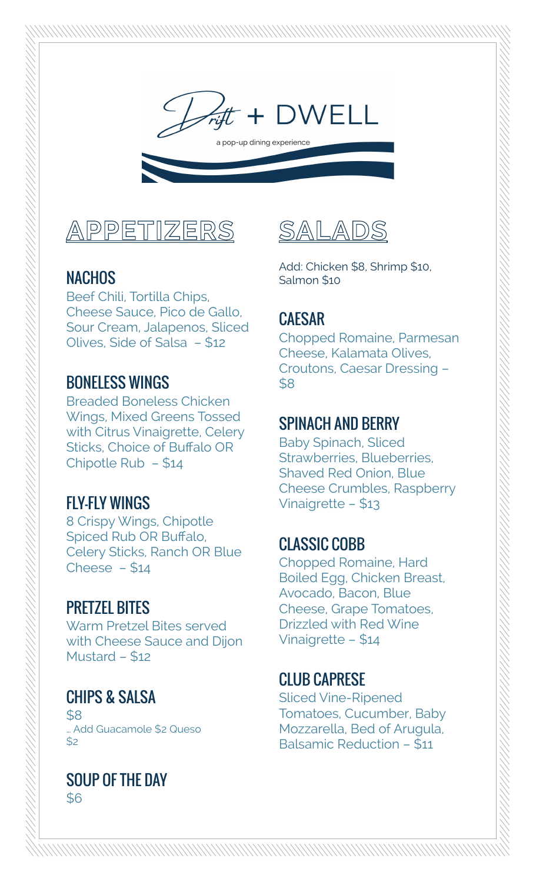

### **NACHOS**

Beef Chili, Tortilla Chips, Cheese Sauce, Pico de Gallo, Sour Cream, Jalapenos, Sliced Olives, Side of Salsa – \$12

### BONELESS WINGS

Breaded Boneless Chicken Wings, Mixed Greens Tossed with Citrus Vinaigrette, Celery Sticks, Choice of Buffalo OR Chipotle Rub – \$14

### FLY-FLY WINGS

8 Crispy Wings, Chipotle Spiced Rub OR Buffalo, Celery Sticks, Ranch OR Blue Cheese  $- $14$ 

### PRETZEL BITES

Warm Pretzel Bites served with Cheese Sauce and Dijon Mustard – \$12

### CHIPS & SALSA

 $$8$ … Add Guacamole \$2 Queso  $$2$ 

#### SOUP OF THE DAY \$6



Add: Chicken \$8, Shrimp \$10, Salmon \$10

### CAESAR

Chopped Romaine, Parmesan Cheese, Kalamata Olives, Croutons, Caesar Dressing – \$8

### SPINACH AND BERRY

Baby Spinach, Sliced Strawberries, Blueberries, Shaved Red Onion, Blue Cheese Crumbles, Raspberry Vinaigrette – \$13

### CLASSIC COBB

Chopped Romaine, Hard Boiled Egg, Chicken Breast, Avocado, Bacon, Blue Cheese, Grape Tomatoes, Drizzled with Red Wine Vinaigrette – \$14

### CLUB CAPRESE

Sliced Vine-Ripened Tomatoes, Cucumber, Baby Mozzarella, Bed of Arugula, Balsamic Reduction – \$11